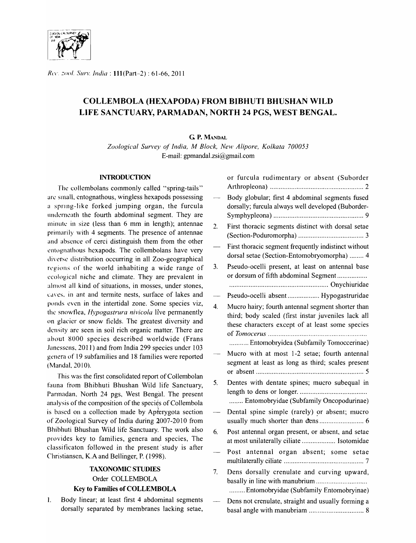

*R('('.* ~()()1. >-",'lIn: *Inciia* : 111(Part-2) : 61-66,2011

# COLLEMBOLA (HEXAPODA) FROM BIBHUTI BHUSHAN WILD LIFE SANCTUARY, PARMADAN, NORTH 24 PGS, WEST BENGAL.

# G P. MANDAL

*Zoological Sun'ey of India, M Block, New Alipore, Kolkata 700053*  E-mail: gpmandal.zsi@gmail.com

# **INTRODUCTION**

The collembolans commonly called "spring-tails" arc small. cntognathous, wingless hexapods possessing a spring-like forked jumping organ, the furcula underneath the fourth abdominal segment. They are minute in size (less than  $6 \text{ mm}$  in length); antennae primarily with 4 segments. The presence of antennae and absence of cerci distinguish them from the other cntognathous hcxapods. The collembolans have very diverse distribution occurring in all Zoo-geographical regions of the world inhabiting a wide range of ecological nichc and climate. They are prevalent in almost all kind of situations, in mosses, under stones, caves, in ant and termite nests, surface of lakes and ponds even in the intertidal zone. Some species viz, the snowflea, *Hypogastrura nivicola* live permanently on glacier or snow fields. The greatest diversity and density are seen in soil rich organic matter. There are about 8000 species described worldwide (Frans Jancsscns. 2011) and from India 299 species under 103 genera of 19 subfamilies and 18 families were reported (MandaI. 2010).

This was the first consolidated report of Collembolan fauna from Bhibhuti Bhushan Wild life Sanctuary, Pannadan, North 24 pgs, West Bengal. The present analysis of the composition of the species of Collembola is based on a collection made by Apterygota section of Zoological Survey of India during 2007-2010 from Bhibhuti Bhushan Wild life Sanctuary. The work also provides key to families, genera and species, The classi ficaton followed in the present' study is after Christiansen, K.A and Bellinger, P. (1998).

# TAXONOMIC STUDIES Order COLLEMBOLA Key to Families of COLLEMBOLA

1. Body linear; at least first 4 abdominal segments dorsally separated by membranes lacking setae,

|    | or furcula rudimentary or absent (Suborder                                                                                                                                                             |
|----|--------------------------------------------------------------------------------------------------------------------------------------------------------------------------------------------------------|
|    | Body globular; first 4 abdominal segments fused<br>dorsally; furcula always well developed (Buborder-                                                                                                  |
| 2. | First thoracic segments distinct with dorsal setae                                                                                                                                                     |
|    | First thoracic segment frequently indistinct without<br>dorsal setae (Section-Entomobryomorpha)  4                                                                                                     |
| 3. | Pseudo-ocelli present, at least on antennal base<br>or dorsum of fifth abdominal Segment                                                                                                               |
|    | Pseudo-ocelli absent Hypogastruridae                                                                                                                                                                   |
| 4. | Mucro hairy; fourth antennal segment shorter than<br>third; body scaled (first instar juveniles lack all<br>these characters except of at least some species<br>Entomobryidea (Subfamily Tomoccerinae) |
|    |                                                                                                                                                                                                        |
|    | Mucro with at most 1-2 setae; fourth antennal<br>segment at least as long as third; scales present                                                                                                     |
| 5. | Dentes with dentate spines; mucro subequal in<br>Entomobryidae (Subfamily Oncopodurinae)                                                                                                               |
|    | Dental spine simple (rarely) or absent; mucro                                                                                                                                                          |
| 6. | Post antennal organ present, or absent, and setae<br>at most unilaterally ciliate  Isotomidae                                                                                                          |
|    | Post antennal organ absent; some setae                                                                                                                                                                 |
| 7. | Dens dorsally crenulate and curving upward,<br>Entomobryidae (Subfamily Entomobryinae)                                                                                                                 |
|    | Dens not crenulate, straight and usually forming a                                                                                                                                                     |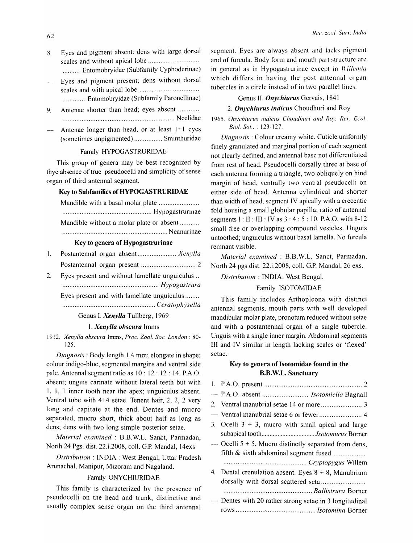- 8. Eyes and pigment absent; dens with large dorsal scales and without apical lobe ............................ . .......... Entomobryidae (Subfamily Cyphoderinae)
- Eyes and pigment present; dens without dorsal scales and with apical lobe ................................. . .. , .......... Entomobryidae (Subfamily Paronellinae)
- 9. Antenae shorter than head; eyes absent ........... . ................................................................ Neelidae
- Antenae longer than head, or at least  $1+1$  eyes (sometimes unpigmented) ................ Sminthuridae

# Family HYPOGASTRURIDAE

This group of genera may be best recognized by thye absence of true pseudocelli and simplicity of sense organ of third antennal segment.

### Key to Subfamilies of HYPOGASTRURIDAE

Mandible with a basal molar plate ...................... . ................................................... Hypogastrurinae

Mandible without a molar plate or absent ........... ............................................................ Neanurinae

### Key to genera of Hypogastrurinae

- 1. Postantennal organ absent ...................... *Xenylla*  Postantennal organ present ............................... 2
- 2. Eyes present and without lamellate unguiculus .. ....................................................... *Hypogastrura*

Eyes present and with lamellate unguiculus ....... .

..................................................... *Ceratophysella* 

Genus I. *Xenylla* Tullberg, 1969

# *1. Xenylla obscura* Imms

*1912. Xenylla obscura* Imms, *Proc. Zool. Soc. London: 80-* 125.

*Diagnosis:* Body length 1.4 mm; elongate in shape; colour indigo-blue, segmental margins and ventral side pale. Antennal segment ratio as 10 : 12 : 12 : 14. P.A.O. absent; unguis carinate without lateral teeth but with 1, 1, 1 inner tooth near the apex; unguiculus absent. Ventral tube with 4+4 setae. Tenent hair, 2, 2, 2 very long and capitate at the end. Dentes and mucro separated, mucro short, thick about half as long as dens; dens with two long simple posterior setae.

*Material examined* : B.B.W.L. Sanct, Parmadan, North 24 Pgs. dist. 22.i.2008, colI. G.P. MandaI, 14exs

*Distribution:* INDIA: West Bengal, Uttar Pradesh Arunachal, Manipur, Mizoram and Nagaland.

# Family ONYCHIURIDAE

This family is characterized by the presence of pseudocelli on the head and trunk, distinctive and usually complex sense organ on the third antennal

segment. Eyes are always absent and lacks pigment and of furcula. Body fonn and mouth part structure are in general as in Hypogastrurinae except in *Willemia* which differs in having the post antennal organ tubercles in a circle instead of in two parallel lines.

### Genus II. *Onychiurus* Gervais, 1841

## 2. **Onychiurus indicus** Choudhuri and Roy

1965. Onychiurus indicus Choudhuri and Roy, Rev. Ecol. *BioI. Sol.,* : 123-127.

*Diagnosis:* Colour creamy white. Cuticle uniformly finely granulated and marginal portion of each segment not clearly defined, and antennal base not differentiated from rest of head. Pseudocelli dorsally three at base of each antenna forming a triangle, two obliquely on hind margin of head, ventrally two ventral pseudocclli on either side of head. Antenna cylindrical and shorter than width of head, segment IV apically with a crecentic fold housing a small globular papilla; ratio of antennal segments I: II : III : IVas 3 : 4: 5: 10. P.A.O. with 8-12 small free or overlapping compound vesicles. Unguis untoothed; unguiculus without basal lamella. No furcula remnant visible.

*Material examined:* B.B.W.L. Sanct, Parmadan, North 24 pgs dist. 22.i.2008, colI. G.P. MandaI, 26 exs.

*Distribution:* INDIA: West Bengal.

# Family ISOTOMIDAE

This family includes Arthopleona with distinct antennal segments, mouth parts with well developed mandibular molar plate, pronotum reduced without setae and with a postantennal organ of a single tubercle. Unguis with a single inner margin. Abdominal segments III and IV similar in length lacking scales or 'flexed' setae.

# Key to genera of Isotomidae found in the B.B. W.L. Sanctuary

|                          | - P.A.O. absent  Isotomiella Bagnall                     |
|--------------------------|----------------------------------------------------------|
|                          |                                                          |
|                          |                                                          |
|                          | 3. Ocelli $3 + 3$ , mucro with small apical and large    |
|                          |                                                          |
|                          | — Ocelli $5 + 5$ , Mucro distinctly separated from dens, |
|                          | fifth & sixth abdominal segment fused                    |
|                          |                                                          |
|                          | 4. Dental crenulation absent. Eyes $8 + 8$ , Manubrium   |
|                          | dorsally with dorsal scattered seta                      |
|                          |                                                          |
| $\overline{\phantom{0}}$ | Dentes with 20 rather strong setae in 3 longitudinal     |
|                          |                                                          |
|                          |                                                          |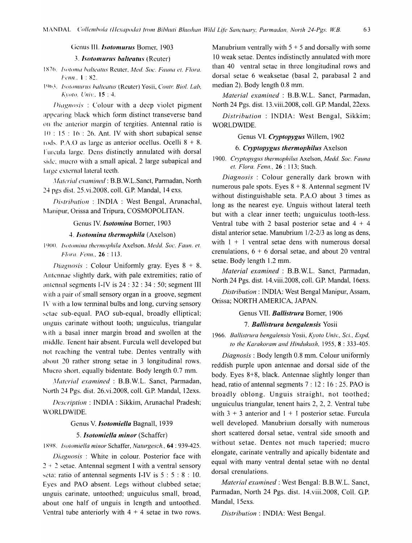#### Genus III. *Isotomurus* Borner, 1903

# 3. Isotomurus balteatus (Reuter)

- 1876. Isotoma balteatus Reuter, Med. Soc. Fauna et. Flora. Fenn., 1:82.
- 1963. Isotomurus balteatus (Reuter) Yosii, Contr. Biol. Lab. Kvoto, Univ., 15: 4.

*Diagnosis*: Colour with a deep violet pigment appearing black which form distinct transeverse band on the anterior margin of tergities. Antennal ratio is  $10 : 15 : 16 : 26$ . Ant. IV with short subapical sense rods. P.A.O as large as anterior occllus. Ocelli  $8 + 8$ . Furcula large. Dens distinctly annulated with dorsal side; muero with a small apical, 2 large subapical and large external lateral teeth.

Material examined: B.B.W.L.Sanct, Parmadan, North 24 pgs dist. 25.vi.2008, coll. G.P. Mandal, 14 exs.

Distribution: INDIA: West Bengal, Arunachal, Manipur, Orissa and Tripura, COSMOPOLITAN.

### Genus IV. *Isotomina* Borner, 1903

# 4. Isotomina thermophila (Axelson)

1900. Isotomina thermophila Axelson, Medd. Soc. Faun. et. Flora. Fenn., 26:113.

*Diagnosis*: Colour Uniformly gray. Eyes  $8 + 8$ . Antennae slightly dark, with pale extremities; ratio of antennal segments I-IV is 24 : 32 : 34 : 50; segment III with a pair of small sensory organ in a groove, segment IV with a low terminal bulbs and long, curving sensory setae sub-equal. PAO sub-equal, broadly elliptical; unguis carinate without tooth; unguiculus, triangular with a basal inner margin broad and swollen at the middle. Tenent hair absent. Furcula well developed but not reaching the ventral tube. Dentes ventrally with about 20 rather strong setae in 3 longitudinal rows. Mucro short, equally bidentate. Body length 0.7 mm.

Material examined: B.B.W.L. Sanct, Parmadan, North 24 Pgs. dist. 26.vi.2008, coll. G.P. Mandal, 12exs.

Description: INDIA: Sikkim, Arunachal Pradesh; WORLDWIDE.

#### Genus V. Isotomiella Bagnall, 1939

### 5. Isotomiella minor (Schaffer)

1898. Isotomiella minor Schaffer, Naturgesch., 64: 939-425.

Diagnosis: White in colour. Posterior face with  $2 + 2$  setae. Antennal segment I with a ventral sensory seta; ratio of antennal segments I-IV is  $5:5:8:10$ . Eyes and PAO absent. Legs without clubbed setae; unguis carinate, untoothed; unguiculus small, broad, about one half of unguis in length and untoothed. Ventral tube anteriorly with  $4 + 4$  setae in two rows.

Manubrium ventrally with  $5 + 5$  and dorsally with some 10 weak setae. Dentes indistinctly annulated with more than 40 ventral setae in three longitudinal rows and dorsal setae 6 weaksetae (basal 2, parabasal 2 and median 2). Body length 0.8 mm.

Material examined: B.B.W.L. Sanct, Parmadan, North 24 Pgs. dist. 13.viii.2008, coll. G.P. Mandal, 22exs.

Distribution: INDIA: West Bengal, Sikkim; WORLDWIDE.

# Genus VI. Cryptopygus Willem, 1902

# 6. Cryptopygus thermophilus Axelson

1900. Cryptopygus thermophilus Axelson, Medd. Soc. Fauna et. Flora. Fenn., 26 : 113; Stach.

Diagnosis: Colour generally dark brown with numerous pale spots. Eves  $8 + 8$ . Antennal segment IV without distinguishable seta. P.A.O about 3 times as long as the nearest eye. Unguis without lateral teeth but with a clear inner teeth; unguiculus tooth-less. Ventral tube with 2 basal posterior setae and  $4 + 4$ distal anterior setae. Manubrium 1/2-2/3 as long as dens, with  $1 + 1$  ventral setae dens with numerous dorsal crenulations,  $6 + 6$  dorsal setae, and about 20 ventral setae. Body length 1.2 mm.

Material examined : B.B.W.L. Sanct, Parmadan, North 24 Pgs. dist. 14. viii. 2008, coll. G.P. Mandal, 16exs.

Distribution: INDIA: West Bengal Manipur, Assam, Orissa; NORTH AMERICA, JAPAN.

#### Genus VII. Ballistrura Borner, 1906

### 7. Ballistrura bengalensis Yosii

1966. Ballistrura bengalensis Yosii, Kyoto Univ., Sci., Expd, to the Karakoram and Hindukush, 1955, 8: 333-405.

Diagnosis: Body length 0.8 mm. Colour uniformly reddish purple upon antennae and dorsal side of the body. Eyes 8+8, black. Antennae slightly longer than head, ratio of antennal segments  $7:12:16:25$ . PAO is broadly oblong. Unguis straight, not toothed; unguiculus triangular, tenent hairs 2, 2, 2. Ventral tube with  $3 + 3$  anterior and  $1 + 1$  posterior setae. Furcula well developed. Manubrium dorsally with numerous short scattered dorsal setae, ventral side smooth and without setae. Dentes not much taperied; mucro elongate, carinate ventrally and apically bidentate and equal with many ventral dental setae with no dental dorsal crenulations.

Material examined : West Bengal: B.B.W.L. Sanct, Parmadan, North 24 Pgs. dist. 14.viii.2008, Coll. G.P. Mandal, 15exs.

Distribution : INDIA: West Bengal.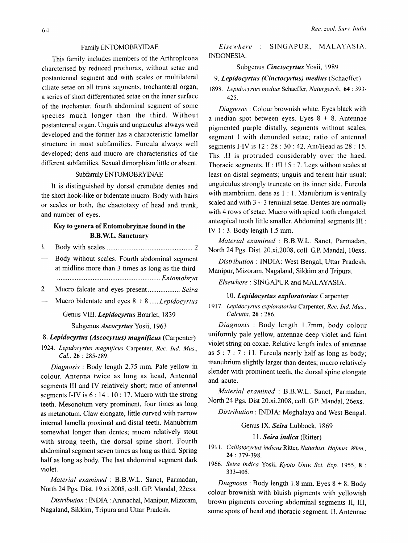# Family ENTOMOBRYIDAE

This family includes members of the Arthropleona charcterised by reduced prothorax, without setae and postantennal segment and with scales or multilateral ciliate setae on all trunk segments, trochanteral organ, a series of short differentiated setae on the inner surface of the trochanter, fourth abdominal segment of some species much longer than the third. Without postantennal organ. Unguis and unguiculus always well developed and the former has a characteristic lamellar structure in most subfamilies. Furcula always well developed; dens and mucro are characteristics of the different subfamilies. Sexual dimorphism little or absent.

# Subfamily ENTOMOBRYINAE

It is distinguished by dorsal crenulate dentes and the short hook-like or bidentate mucro. Body with hairs or scales or both, the chaetotaxy of head and trunk, and number of eyes.

# Key to genera of Entomobryinae found in the B.B. W.L. Sanctuary

- 1. Body with scales ................................................ 2
- Body without scales. Fourth abdominal segment at midline more than 3 times as long as the third . ......................................................... *Entomobrya*
- 2. Mucro falcate and eyes present .................. *Seira*
- Mucro bidentate and eyes 8 + 8 ..... *Lepidocyrtus*

# Genus VIII. *Lepidocyrtus* Bourlet, 1839

Subgenus *Ascocyrtus* Yosii, 1963

### *8. Lepidocyrtus (Ascocyrtus) magnificus* (Carpenter)

*1924. Lepidocyrtus magnificus* Carpenter, *Rec. Ind. Mus., Cal.,* 26 : 285-289.

*Diagnosis:* Body length 2.75 mm. Pale yellow in colour. Antenna twice as long as head, Antennal segments III and IV relatively short; ratio of antennal segments I-IV is 6 : 14 : 10 : 17. Mucro with the strong teeth. Mesonotum very prominent, four times as long as metanotum. Claw elongate, little curved with narrow internal lamella proximal and distal teeth. Manubrium somewhat longer than dentes; mucro relatively stout with strong teeth, the dorsal spine short. Fourth abdominal segment seven times as long as third. Spring half as long as body. The last abdominal segment dark violet.

*Material examined:* B.B.W.L. Sanct, Parmadan, North 24 Pgs. Dist. 19.xi.2008, colI. GP. MandaI, 22exs.

*Distribution:* INDIA : Arunachal, Manipur, Mizoram, Nagaland, Sikkim, Tripura and Uttar Pradesh.

*Else"where*  SINGAPUR, MALAYASIA. INDONESIA.

# Subgenus *Cinctocyrtus* Yosii, 1989

### 9. Lepidocyrtus (Cinctocyrtus) medius *(Schaeffer)*

1898. Lepidocyrtus medius Schaeffer, *Naturgesch.*, **64** : 393-425.

*Diagnosis:* Colour brownish white. Eyes black with a median spot between eyes. Eyes  $8 + 8$ . Antennae pigmented purple distally, segments without scales, segment I with denunded setae; ratio of antennal segments I-IV is 12 : 28 : 30 : 42. Ant/Head as 28 : 15. Ths .II is protruded considerably over the haed. Thoracic segments. II : III 15 : 7. Legs without scales at least on distal segments; unguis and tenent hair usual; unguiculus strongly truncate on its inner side. Furcula with mambrium. dens as 1 : 1. Manubrium is ventrally scaled and with  $3 + 3$  terminal setae. Dentes are normally with 4 rows of setae. Mucro with apical tooth elongated, anteapical tooth little smaller. Abdominal segments III : IV 1 : 3. Body length 1.5 mm.

*Material examined* : B.B.W.L. Sanct, Parmadan, North 24 Pgs. Dist. 20.xi.2008, colI. GP. MandaI, 10exs.

*Distribution:* INDIA: West Bengal, Uttar Pradesh, Manipur, Mizoram, Nagaland, Sikkim and Tripura.

*Elsewhere:* SINGAPUR and MALAYASIA.

# *10. Lepidocyrtus expioratorius* Carpenter

*1917. Lepidocyrtus exploratorius* Carpenter, *Rec. Ind. Mus., Calcutta,* 26 : 286.

*Diagnosis* : Body length 1.7mm, body colour unifonnly pale yellow, antennae deep violet and faint violet string on coxae. Relative length index of antennae as  $5: 7: 7: 11$ . Furcula nearly half as long as body; manubrium slightly larger than dentes; mucro relatively slender with prominent teeth, the dorsal spine elongate and acute.

*Material examined* : B.B.W.L. Sanct, Parmadan, North 24 Pgs. Dist 20.xi.2008, colI. G.P. MandaI, 26exs.

*Distribution:* INDIA: Meghalaya and West Bengal.

# Genus IX. *Seira* Lubbock, 1869

# II. *Seira indica* (Ritter)

- *1911. Callistocyrtus indicus* Ritter, *Naturhist. Hofmus. Wien.,*  24 : 379-398.
- *1966. Seira indica* Yosii, *Kyoto Univ. Sci. Exp.* 1955, 8 : 333-405.

*Diagnosis:* Body length 1.8 mm. Eyes 8 + 8. Body colour brownish with bluish pigments with yellowish brown pigments covering abdominal segments II, III, some spots of head and thoracic segment. II. Antennae